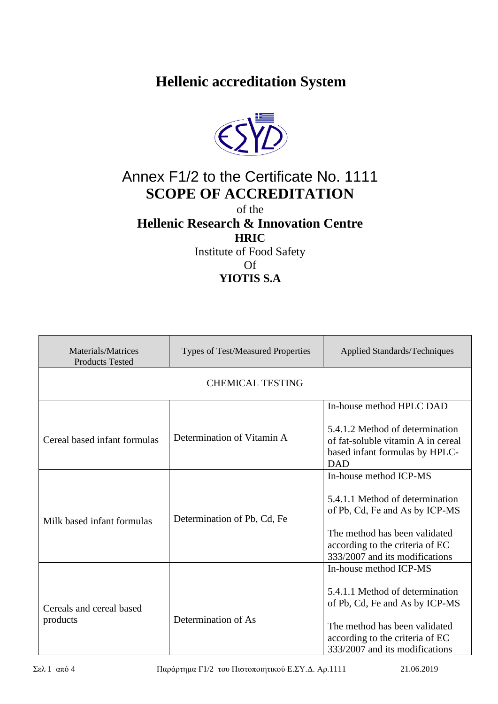**Hellenic accreditation System**



## Annex F1/2 to the Certificate No. 1111 **SCOPE OF ACCREDITATION**

of the

## **Hellenic Research & Innovation Centre**

**HRIC**

Institute of Food Safety Of **YIOTIS S.A**

| Materials/Matrices<br><b>Products Tested</b> | <b>Types of Test/Measured Properties</b> | <b>Applied Standards/Techniques</b>                                                                                                                                                               |  |  |
|----------------------------------------------|------------------------------------------|---------------------------------------------------------------------------------------------------------------------------------------------------------------------------------------------------|--|--|
| <b>CHEMICAL TESTING</b>                      |                                          |                                                                                                                                                                                                   |  |  |
|                                              |                                          | In-house method HPLC DAD                                                                                                                                                                          |  |  |
| Cereal based infant formulas                 | Determination of Vitamin A               | 5.4.1.2 Method of determination<br>of fat-soluble vitamin A in cereal<br>based infant formulas by HPLC-<br><b>DAD</b>                                                                             |  |  |
| Milk based infant formulas                   | Determination of Pb, Cd, Fe              | In-house method ICP-MS<br>5.4.1.1 Method of determination<br>of Pb, Cd, Fe and As by ICP-MS<br>The method has been validated<br>according to the criteria of EC<br>333/2007 and its modifications |  |  |
| Cereals and cereal based<br>products         | Determination of As                      | In-house method ICP-MS<br>5.4.1.1 Method of determination<br>of Pb, Cd, Fe and As by ICP-MS<br>The method has been validated<br>according to the criteria of EC<br>333/2007 and its modifications |  |  |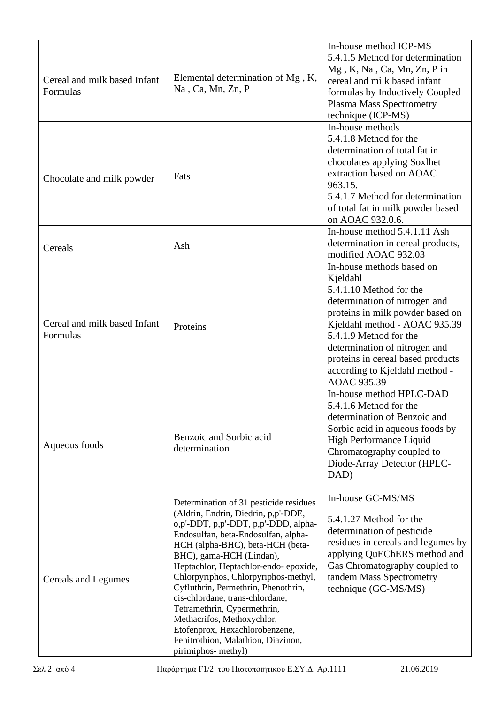| Cereal and milk based Infant<br>Formulas | Elemental determination of Mg, K,<br>Na, Ca, Mn, Zn, P                                                                                                                                                                                                                                                                                                                                                                                                                                                                                             | In-house method ICP-MS<br>5.4.1.5 Method for determination<br>Mg, K, Na, Ca, Mn, Zn, P in<br>cereal and milk based infant<br>formulas by Inductively Coupled<br>Plasma Mass Spectrometry<br>technique (ICP-MS)                                                                                                          |
|------------------------------------------|----------------------------------------------------------------------------------------------------------------------------------------------------------------------------------------------------------------------------------------------------------------------------------------------------------------------------------------------------------------------------------------------------------------------------------------------------------------------------------------------------------------------------------------------------|-------------------------------------------------------------------------------------------------------------------------------------------------------------------------------------------------------------------------------------------------------------------------------------------------------------------------|
| Chocolate and milk powder                | Fats                                                                                                                                                                                                                                                                                                                                                                                                                                                                                                                                               | In-house methods<br>5.4.1.8 Method for the<br>determination of total fat in<br>chocolates applying Soxlhet<br>extraction based on AOAC<br>963.15.<br>5.4.1.7 Method for determination<br>of total fat in milk powder based<br>on AOAC 932.0.6.                                                                          |
| Cereals                                  | Ash                                                                                                                                                                                                                                                                                                                                                                                                                                                                                                                                                | In-house method 5.4.1.11 Ash<br>determination in cereal products,<br>modified AOAC 932.03                                                                                                                                                                                                                               |
| Cereal and milk based Infant<br>Formulas | Proteins                                                                                                                                                                                                                                                                                                                                                                                                                                                                                                                                           | In-house methods based on<br>Kjeldahl<br>5.4.1.10 Method for the<br>determination of nitrogen and<br>proteins in milk powder based on<br>Kjeldahl method - AOAC 935.39<br>5.4.1.9 Method for the<br>determination of nitrogen and<br>proteins in cereal based products<br>according to Kjeldahl method -<br>AOAC 935.39 |
| Aqueous foods                            | Benzoic and Sorbic acid<br>determination                                                                                                                                                                                                                                                                                                                                                                                                                                                                                                           | In-house method HPLC-DAD<br>5.4.1.6 Method for the<br>determination of Benzoic and<br>Sorbic acid in aqueous foods by<br>High Performance Liquid<br>Chromatography coupled to<br>Diode-Array Detector (HPLC-<br>DAD)                                                                                                    |
| Cereals and Legumes                      | Determination of 31 pesticide residues<br>(Aldrin, Endrin, Diedrin, p,p'-DDE,<br>o,p'-DDT, p,p'-DDT, p,p'-DDD, alpha-<br>Endosulfan, beta-Endosulfan, alpha-<br>HCH (alpha-BHC), beta-HCH (beta-<br>BHC), gama-HCH (Lindan),<br>Heptachlor, Heptachlor-endo-epoxide,<br>Chlorpyriphos, Chlorpyriphos-methyl,<br>Cyfluthrin, Permethrin, Phenothrin,<br>cis-chlordane, trans-chlordane,<br>Tetramethrin, Cypermethrin,<br>Methacrifos, Methoxychlor,<br>Etofenprox, Hexachlorobenzene,<br>Fenitrothion, Malathion, Diazinon,<br>pirimiphos- methyl) | In-house GC-MS/MS<br>5.4.1.27 Method for the<br>determination of pesticide<br>residues in cereals and legumes by<br>applying QuEChERS method and<br>Gas Chromatography coupled to<br>tandem Mass Spectrometry<br>technique (GC-MS/MS)                                                                                   |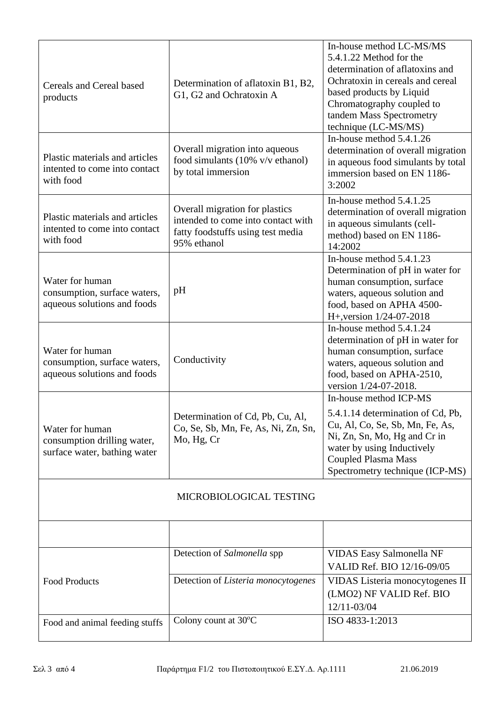| Cereals and Cereal based<br>products                                           | Determination of aflatoxin B1, B2,<br>G1, G2 and Ochratoxin A                                                            | In-house method LC-MS/MS<br>5.4.1.22 Method for the<br>determination of aflatoxins and<br>Ochratoxin in cereals and cereal<br>based products by Liquid<br>Chromatography coupled to<br>tandem Mass Spectrometry<br>technique (LC-MS/MS) |  |  |
|--------------------------------------------------------------------------------|--------------------------------------------------------------------------------------------------------------------------|-----------------------------------------------------------------------------------------------------------------------------------------------------------------------------------------------------------------------------------------|--|--|
| Plastic materials and articles<br>intented to come into contact<br>with food   | Overall migration into aqueous<br>food simulants $(10\% \text{ v/v ethanol})$<br>by total immersion                      | In-house method $5.4.1.26$<br>determination of overall migration<br>in aqueous food simulants by total<br>immersion based on EN 1186-<br>3:2002                                                                                         |  |  |
| Plastic materials and articles<br>intented to come into contact<br>with food   | Overall migration for plastics<br>intended to come into contact with<br>fatty foodstuffs using test media<br>95% ethanol | In-house method 5.4.1.25<br>determination of overall migration<br>in aqueous simulants (cell-<br>method) based on EN 1186-<br>14:2002                                                                                                   |  |  |
| Water for human<br>consumption, surface waters,<br>aqueous solutions and foods | pH                                                                                                                       | In-house method 5.4.1.23<br>Determination of pH in water for<br>human consumption, surface<br>waters, aqueous solution and<br>food, based on APHA 4500-<br>H+, version 1/24-07-2018                                                     |  |  |
| Water for human<br>consumption, surface waters,<br>aqueous solutions and foods | Conductivity                                                                                                             | In-house method 5.4.1.24<br>determination of pH in water for<br>human consumption, surface<br>waters, aqueous solution and<br>food, based on APHA-2510,<br>version 1/24-07-2018.                                                        |  |  |
| Water for human<br>consumption drilling water,<br>surface water, bathing water | Determination of Cd, Pb, Cu, Al,<br>Co, Se, Sb, Mn, Fe, As, Ni, Zn, Sn,<br>Mo, Hg, Cr                                    | In-house method ICP-MS<br>5.4.1.14 determination of Cd, Pb,<br>Cu, Al, Co, Se, Sb, Mn, Fe, As,<br>Ni, Zn, Sn, Mo, Hg and Cr in<br>water by using Inductively<br><b>Coupled Plasma Mass</b><br>Spectrometry technique (ICP-MS)           |  |  |
| MICROBIOLOGICAL TESTING                                                        |                                                                                                                          |                                                                                                                                                                                                                                         |  |  |
|                                                                                |                                                                                                                          |                                                                                                                                                                                                                                         |  |  |
|                                                                                | Detection of Salmonella spp                                                                                              | VIDAS Easy Salmonella NF<br>VALID Ref. BIO 12/16-09/05                                                                                                                                                                                  |  |  |
| <b>Food Products</b>                                                           | Detection of Listeria monocytogenes                                                                                      | VIDAS Listeria monocytogenes II<br>(LMO2) NF VALID Ref. BIO<br>12/11-03/04                                                                                                                                                              |  |  |
| Food and animal feeding stuffs                                                 | Colony count at 30°C                                                                                                     | ISO 4833-1:2013                                                                                                                                                                                                                         |  |  |